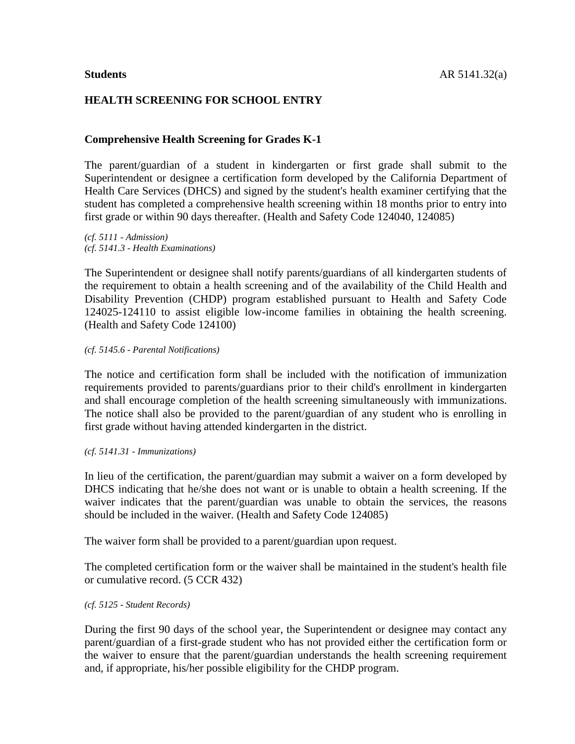# **HEALTH SCREENING FOR SCHOOL ENTRY**

## **Comprehensive Health Screening for Grades K-1**

The parent/guardian of a student in kindergarten or first grade shall submit to the Superintendent or designee a certification form developed by the California Department of Health Care Services (DHCS) and signed by the student's health examiner certifying that the student has completed a comprehensive health screening within 18 months prior to entry into first grade or within 90 days thereafter. (Health and Safety Code 124040, 124085)

*(cf. 5111 - Admission) (cf. 5141.3 - Health Examinations)*

The Superintendent or designee shall notify parents/guardians of all kindergarten students of the requirement to obtain a health screening and of the availability of the Child Health and Disability Prevention (CHDP) program established pursuant to Health and Safety Code 124025-124110 to assist eligible low-income families in obtaining the health screening. (Health and Safety Code 124100)

#### *(cf. 5145.6 - Parental Notifications)*

The notice and certification form shall be included with the notification of immunization requirements provided to parents/guardians prior to their child's enrollment in kindergarten and shall encourage completion of the health screening simultaneously with immunizations. The notice shall also be provided to the parent/guardian of any student who is enrolling in first grade without having attended kindergarten in the district.

## *(cf. 5141.31 - Immunizations)*

In lieu of the certification, the parent/guardian may submit a waiver on a form developed by DHCS indicating that he/she does not want or is unable to obtain a health screening. If the waiver indicates that the parent/guardian was unable to obtain the services, the reasons should be included in the waiver. (Health and Safety Code 124085)

The waiver form shall be provided to a parent/guardian upon request.

The completed certification form or the waiver shall be maintained in the student's health file or cumulative record. (5 CCR 432)

## *(cf. 5125 - Student Records)*

During the first 90 days of the school year, the Superintendent or designee may contact any parent/guardian of a first-grade student who has not provided either the certification form or the waiver to ensure that the parent/guardian understands the health screening requirement and, if appropriate, his/her possible eligibility for the CHDP program.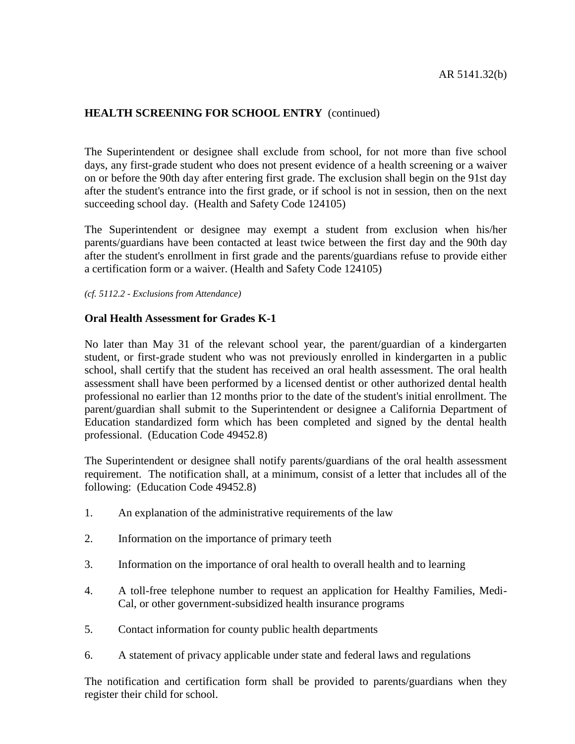# **HEALTH SCREENING FOR SCHOOL ENTRY** (continued)

The Superintendent or designee shall exclude from school, for not more than five school days, any first-grade student who does not present evidence of a health screening or a waiver on or before the 90th day after entering first grade. The exclusion shall begin on the 91st day after the student's entrance into the first grade, or if school is not in session, then on the next succeeding school day. (Health and Safety Code 124105)

The Superintendent or designee may exempt a student from exclusion when his/her parents/guardians have been contacted at least twice between the first day and the 90th day after the student's enrollment in first grade and the parents/guardians refuse to provide either a certification form or a waiver. (Health and Safety Code 124105)

*(cf. 5112.2 - Exclusions from Attendance)*

## **Oral Health Assessment for Grades K-1**

No later than May 31 of the relevant school year, the parent/guardian of a kindergarten student, or first-grade student who was not previously enrolled in kindergarten in a public school, shall certify that the student has received an oral health assessment. The oral health assessment shall have been performed by a licensed dentist or other authorized dental health professional no earlier than 12 months prior to the date of the student's initial enrollment. The parent/guardian shall submit to the Superintendent or designee a California Department of Education standardized form which has been completed and signed by the dental health professional. (Education Code 49452.8)

The Superintendent or designee shall notify parents/guardians of the oral health assessment requirement. The notification shall, at a minimum, consist of a letter that includes all of the following: (Education Code 49452.8)

- 1. An explanation of the administrative requirements of the law
- 2. Information on the importance of primary teeth
- 3. Information on the importance of oral health to overall health and to learning
- 4. A toll-free telephone number to request an application for Healthy Families, Medi-Cal, or other government-subsidized health insurance programs
- 5. Contact information for county public health departments
- 6. A statement of privacy applicable under state and federal laws and regulations

The notification and certification form shall be provided to parents/guardians when they register their child for school.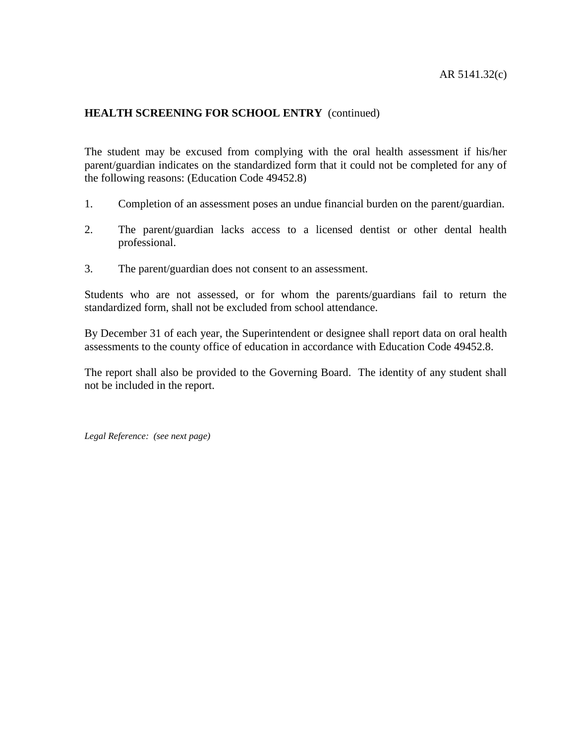# **HEALTH SCREENING FOR SCHOOL ENTRY** (continued)

The student may be excused from complying with the oral health assessment if his/her parent/guardian indicates on the standardized form that it could not be completed for any of the following reasons: (Education Code 49452.8)

- 1. Completion of an assessment poses an undue financial burden on the parent/guardian.
- 2. The parent/guardian lacks access to a licensed dentist or other dental health professional.
- 3. The parent/guardian does not consent to an assessment.

Students who are not assessed, or for whom the parents/guardians fail to return the standardized form, shall not be excluded from school attendance.

By December 31 of each year, the Superintendent or designee shall report data on oral health assessments to the county office of education in accordance with Education Code 49452.8.

The report shall also be provided to the Governing Board. The identity of any student shall not be included in the report.

*Legal Reference: (see next page)*